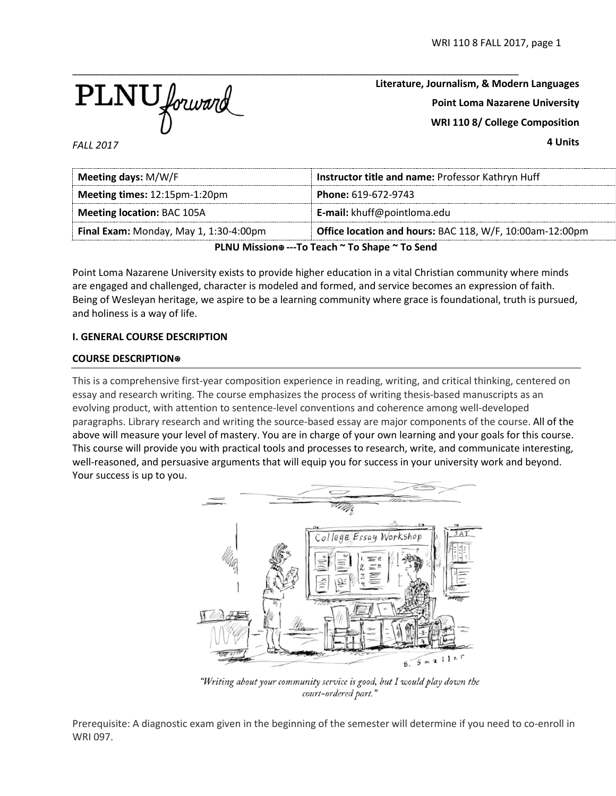

**Literature, Journalism, & Modern Languages Point Loma Nazarene University WRI 110 8/ College Composition 4 Units**

*FALL 2017*

| Meeting days: M/W/F                                                                                | Instructor title and name: Professor Kathryn Huff |  |  |  |
|----------------------------------------------------------------------------------------------------|---------------------------------------------------|--|--|--|
| Meeting times: 12:15pm-1:20pm<br>Phone: 619-672-9743                                               |                                                   |  |  |  |
| <b>Meeting location: BAC 105A</b>                                                                  | <b>E-mail:</b> khuff@pointloma.edu                |  |  |  |
| Office location and hours: BAC 118, W/F, 10:00am-12:00pm<br>Final Exam: Monday, May 1, 1:30-4:00pm |                                                   |  |  |  |
| PLNU Mission® ---To Teach ~ To Shape ~ To Send                                                     |                                                   |  |  |  |

Point Loma Nazarene University exists to provide higher education in a vital Christian community where minds are engaged and challenged, character is modeled and formed, and service becomes an expression of faith. Being of Wesleyan heritage, we aspire to be a learning community where grace is foundational, truth is pursued, and holiness is a way of life.

### **I. GENERAL COURSE DESCRIPTION**

### **COURSE DESCRIPTION**⍟

This is a comprehensive first-year composition experience in reading, writing, and critical thinking, centered on essay and research writing. The course emphasizes the process of writing thesis-based manuscripts as an evolving product, with attention to sentence-level conventions and coherence among well-developed paragraphs. Library research and writing the source-based essay are major components of the course. All of the above will measure your level of mastery. You are in charge of your own learning and your goals for this course. This course will provide you with practical tools and processes to research, write, and communicate interesting, well-reasoned, and persuasive arguments that will equip you for success in your university work and beyond. Your success is up to you.



"Writing about your community service is good, but I would play down the court-ordered part."

Prerequisite: A diagnostic exam given in the beginning of the semester will determine if you need to co-enroll in WRI 097.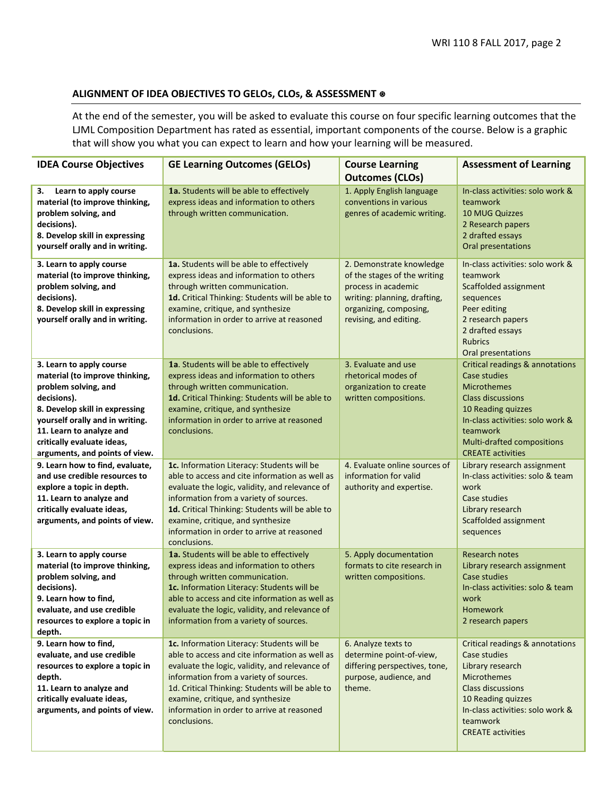## **ALIGNMENT OF IDEA OBJECTIVES TO GELOs, CLOs, & ASSESSMENT** ⍟

At the end of the semester, you will be asked to evaluate this course on four specific learning outcomes that the LJML Composition Department has rated as essential, important components of the course. Below is a graphic that will show you what you can expect to learn and how your learning will be measured.

| <b>IDEA Course Objectives</b>                                                                                                                                                                                                                                      | <b>GE Learning Outcomes (GELOs)</b>                                                                                                                                                                                                                                                                                                            | <b>Course Learning</b><br><b>Outcomes (CLOs)</b>                                                                                                                    | <b>Assessment of Learning</b>                                                                                                                                                                                                                |
|--------------------------------------------------------------------------------------------------------------------------------------------------------------------------------------------------------------------------------------------------------------------|------------------------------------------------------------------------------------------------------------------------------------------------------------------------------------------------------------------------------------------------------------------------------------------------------------------------------------------------|---------------------------------------------------------------------------------------------------------------------------------------------------------------------|----------------------------------------------------------------------------------------------------------------------------------------------------------------------------------------------------------------------------------------------|
| 3.<br>Learn to apply course<br>material (to improve thinking,<br>problem solving, and<br>decisions).<br>8. Develop skill in expressing<br>yourself orally and in writing.                                                                                          | 1a. Students will be able to effectively<br>express ideas and information to others<br>through written communication.                                                                                                                                                                                                                          | 1. Apply English language<br>conventions in various<br>genres of academic writing.                                                                                  | In-class activities: solo work &<br>teamwork<br><b>10 MUG Quizzes</b><br>2 Research papers<br>2 drafted essays<br>Oral presentations                                                                                                         |
| 3. Learn to apply course<br>material (to improve thinking,<br>problem solving, and<br>decisions).<br>8. Develop skill in expressing<br>yourself orally and in writing.                                                                                             | <b>1a.</b> Students will be able to effectively<br>express ideas and information to others<br>through written communication.<br>1d. Critical Thinking: Students will be able to<br>examine, critique, and synthesize<br>information in order to arrive at reasoned<br>conclusions.                                                             | 2. Demonstrate knowledge<br>of the stages of the writing<br>process in academic<br>writing: planning, drafting,<br>organizing, composing,<br>revising, and editing. | In-class activities: solo work &<br>teamwork<br>Scaffolded assignment<br>sequences<br>Peer editing<br>2 research papers<br>2 drafted essays<br><b>Rubrics</b><br>Oral presentations                                                          |
| 3. Learn to apply course<br>material (to improve thinking,<br>problem solving, and<br>decisions).<br>8. Develop skill in expressing<br>yourself orally and in writing.<br>11. Learn to analyze and<br>critically evaluate ideas,<br>arguments, and points of view. | 1a. Students will be able to effectively<br>express ideas and information to others<br>through written communication.<br>1d. Critical Thinking: Students will be able to<br>examine, critique, and synthesize<br>information in order to arrive at reasoned<br>conclusions.                                                                    | 3. Evaluate and use<br>rhetorical modes of<br>organization to create<br>written compositions.                                                                       | <b>Critical readings &amp; annotations</b><br>Case studies<br><b>Microthemes</b><br><b>Class discussions</b><br>10 Reading quizzes<br>In-class activities: solo work &<br>teamwork<br>Multi-drafted compositions<br><b>CREATE activities</b> |
| 9. Learn how to find, evaluate,<br>and use credible resources to<br>explore a topic in depth.<br>11. Learn to analyze and<br>critically evaluate ideas,<br>arguments, and points of view.                                                                          | 1c. Information Literacy: Students will be<br>able to access and cite information as well as<br>evaluate the logic, validity, and relevance of<br>information from a variety of sources.<br>1d. Critical Thinking: Students will be able to<br>examine, critique, and synthesize<br>information in order to arrive at reasoned<br>conclusions. | 4. Evaluate online sources of<br>information for valid<br>authority and expertise.                                                                                  | Library research assignment<br>In-class activities: solo & team<br>work<br>Case studies<br>Library research<br>Scaffolded assignment<br>sequences                                                                                            |
| 3. Learn to apply course<br>material (to improve thinking,<br>problem solving, and<br>decisions).<br>9. Learn how to find,<br>evaluate, and use credible<br>resources to explore a topic in<br>depth.                                                              | 1a. Students will be able to effectively<br>express ideas and information to others<br>through written communication.<br>1c. Information Literacy: Students will be<br>able to access and cite information as well as<br>evaluate the logic, validity, and relevance of<br>information from a variety of sources.                              | 5. Apply documentation<br>formats to cite research in<br>written compositions.                                                                                      | <b>Research notes</b><br>Library research assignment<br>Case studies<br>In-class activities: solo & team<br>work<br><b>Homework</b><br>2 research papers                                                                                     |
| 9. Learn how to find,<br>evaluate, and use credible<br>resources to explore a topic in<br>depth.<br>11. Learn to analyze and<br>critically evaluate ideas,<br>arguments, and points of view.                                                                       | 1c. Information Literacy: Students will be<br>able to access and cite information as well as<br>evaluate the logic, validity, and relevance of<br>information from a variety of sources.<br>1d. Critical Thinking: Students will be able to<br>examine, critique, and synthesize<br>information in order to arrive at reasoned<br>conclusions. | 6. Analyze texts to<br>determine point-of-view,<br>differing perspectives, tone,<br>purpose, audience, and<br>theme.                                                | Critical readings & annotations<br>Case studies<br>Library research<br><b>Microthemes</b><br><b>Class discussions</b><br>10 Reading quizzes<br>In-class activities: solo work &<br>teamwork<br><b>CREATE activities</b>                      |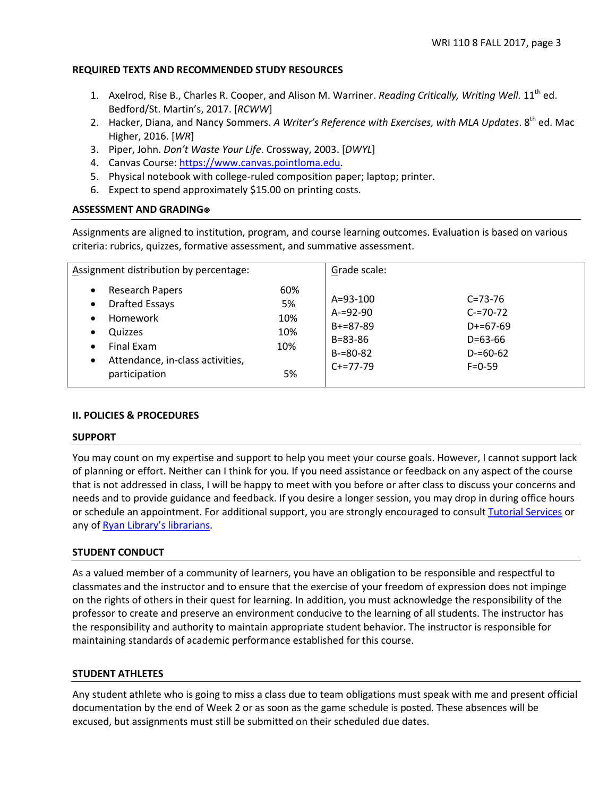### **REQUIRED TEXTS AND RECOMMENDED STUDY RESOURCES**

- 1. Axelrod, Rise B., Charles R. Cooper, and Alison M. Warriner. *Reading Critically, Writing Well*. 11<sup>th</sup> ed. Bedford/St. Martin's, 2017. [*RCWW*]
- 2. Hacker, Diana, and Nancy Sommers. *A Writer's Reference with Exercises, with MLA Updates*. 8<sup>th</sup> ed. Mac Higher, 2016. [*WR*]
- 3. Piper, John. *Don't Waste Your Life*. Crossway, 2003. [*DWYL*]
- 4. Canvas Course: [https://www.canvas.pointloma.edu.](https://www.canvas.pointloma.edu/)
- 5. Physical notebook with college-ruled composition paper; laptop; printer.
- 6. Expect to spend approximately \$15.00 on printing costs.

## **ASSESSMENT AND GRADING**⍟

Assignments are aligned to institution, program, and course learning outcomes. Evaluation is based on various criteria: rubrics, quizzes, formative assessment, and summative assessment.

| Assignment distribution by percentage:                                                                                                                                                                                 |                                      | Grade scale:                                                                                  |                                                                                            |
|------------------------------------------------------------------------------------------------------------------------------------------------------------------------------------------------------------------------|--------------------------------------|-----------------------------------------------------------------------------------------------|--------------------------------------------------------------------------------------------|
| <b>Research Papers</b><br>$\bullet$<br><b>Drafted Essays</b><br>$\bullet$<br>Homework<br>$\bullet$<br>Quizzes<br>٠<br><b>Final Exam</b><br>$\bullet$<br>Attendance, in-class activities,<br>$\bullet$<br>participation | 60%<br>5%<br>10%<br>10%<br>10%<br>5% | $A = 93 - 100$<br>$A = 92 - 90$<br>$B+=87-89$<br>$B = 83 - 86$<br>$B = 80 - 82$<br>$C+=77-79$ | $C = 73 - 76$<br>$C = 70 - 72$<br>$D+=67-69$<br>$D=63-66$<br>$D = 60 - 62$<br>$F = 0 - 59$ |

## **II. POLICIES & PROCEDURES**

### **SUPPORT**

You may count on my expertise and support to help you meet your course goals. However, I cannot support lack of planning or effort. Neither can I think for you. If you need assistance or feedback on any aspect of the course that is not addressed in class, I will be happy to meet with you before or after class to discuss your concerns and needs and to provide guidance and feedback. If you desire a longer session, you may drop in during office hours or schedule an appointment. For additional support, you are strongly encouraged to consul[t Tutorial Services](http://www.pointloma.edu/experience/offices/student-services/tutorial-services/services) or any of [Ryan Library's librarians.](http://www.pointloma.edu/ryanlibrary)

## **STUDENT CONDUCT**

As a valued member of a community of learners, you have an obligation to be responsible and respectful to classmates and the instructor and to ensure that the exercise of your freedom of expression does not impinge on the rights of others in their quest for learning. In addition, you must acknowledge the responsibility of the professor to create and preserve an environment conducive to the learning of all students. The instructor has the responsibility and authority to maintain appropriate student behavior. The instructor is responsible for maintaining standards of academic performance established for this course.

### **STUDENT ATHLETES**

Any student athlete who is going to miss a class due to team obligations must speak with me and present official documentation by the end of Week 2 or as soon as the game schedule is posted. These absences will be excused, but assignments must still be submitted on their scheduled due dates.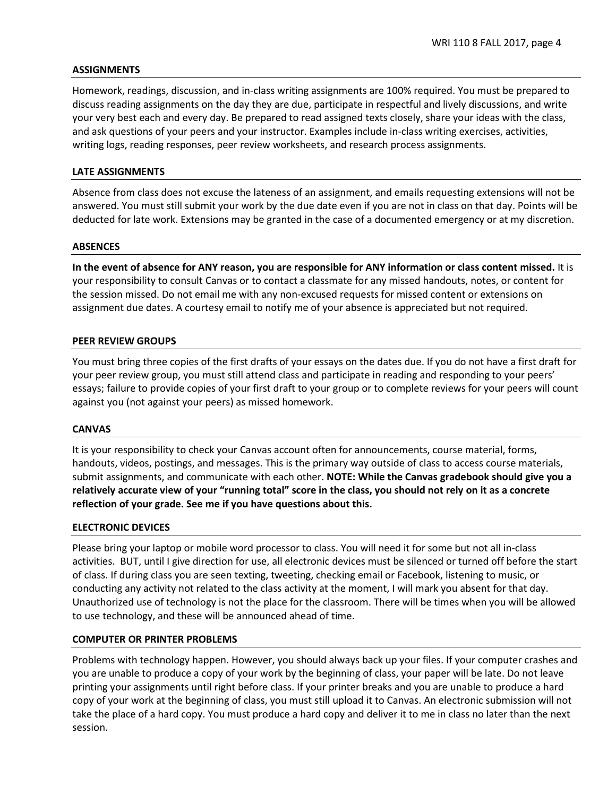### **ASSIGNMENTS**

Homework, readings, discussion, and in-class writing assignments are 100% required. You must be prepared to discuss reading assignments on the day they are due, participate in respectful and lively discussions, and write your very best each and every day. Be prepared to read assigned texts closely, share your ideas with the class, and ask questions of your peers and your instructor. Examples include in-class writing exercises, activities, writing logs, reading responses, peer review worksheets, and research process assignments.

### **LATE ASSIGNMENTS**

Absence from class does not excuse the lateness of an assignment, and emails requesting extensions will not be answered. You must still submit your work by the due date even if you are not in class on that day. Points will be deducted for late work. Extensions may be granted in the case of a documented emergency or at my discretion.

#### **ABSENCES**

**In the event of absence for ANY reason, you are responsible for ANY information or class content missed.** It is your responsibility to consult Canvas or to contact a classmate for any missed handouts, notes, or content for the session missed. Do not email me with any non-excused requests for missed content or extensions on assignment due dates. A courtesy email to notify me of your absence is appreciated but not required.

#### **PEER REVIEW GROUPS**

You must bring three copies of the first drafts of your essays on the dates due. If you do not have a first draft for your peer review group, you must still attend class and participate in reading and responding to your peers' essays; failure to provide copies of your first draft to your group or to complete reviews for your peers will count against you (not against your peers) as missed homework.

#### **CANVAS**

It is your responsibility to check your Canvas account often for announcements, course material, forms, handouts, videos, postings, and messages. This is the primary way outside of class to access course materials, submit assignments, and communicate with each other. **NOTE: While the Canvas gradebook should give you a relatively accurate view of your "running total" score in the class, you should not rely on it as a concrete reflection of your grade. See me if you have questions about this.** 

### **ELECTRONIC DEVICES**

Please bring your laptop or mobile word processor to class. You will need it for some but not all in-class activities. BUT, until I give direction for use, all electronic devices must be silenced or turned off before the start of class. If during class you are seen texting, tweeting, checking email or Facebook, listening to music, or conducting any activity not related to the class activity at the moment, I will mark you absent for that day. Unauthorized use of technology is not the place for the classroom. There will be times when you will be allowed to use technology, and these will be announced ahead of time.

### **COMPUTER OR PRINTER PROBLEMS**

Problems with technology happen. However, you should always back up your files. If your computer crashes and you are unable to produce a copy of your work by the beginning of class, your paper will be late. Do not leave printing your assignments until right before class. If your printer breaks and you are unable to produce a hard copy of your work at the beginning of class, you must still upload it to Canvas. An electronic submission will not take the place of a hard copy. You must produce a hard copy and deliver it to me in class no later than the next session.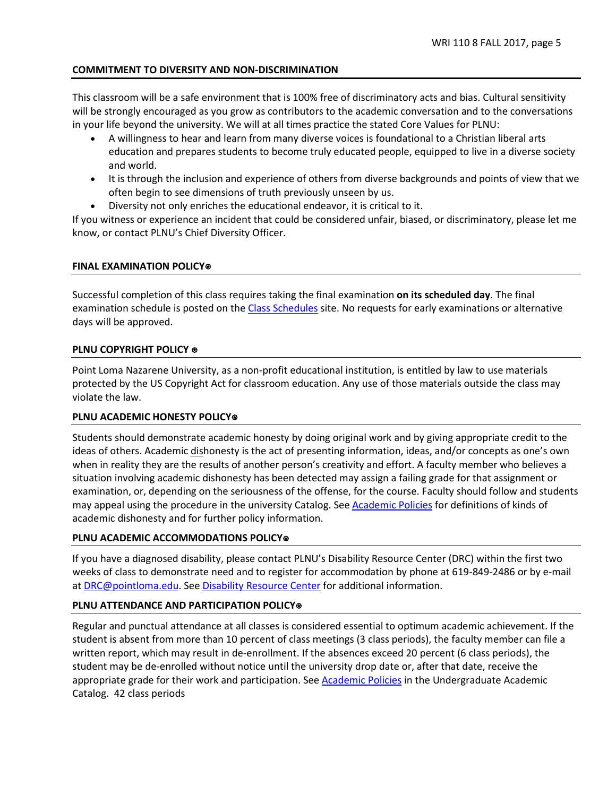# **COMMITMENT TO DIVERSITY AND NON-DISCRIMINATION**

This classroom will be a safe environment that is 100% free of discriminatory acts and bias. Cultural sensitivity will be strongly encouraged as you grow as contributors to the academic conversation and to the conversations in your life beyond the university. We will at all times practice the stated Core Values for PLNU:

- A willingness to hear and learn from many diverse voices is foundational to a Christian liberal arts education and prepares students to become truly educated people, equipped to live in a diverse society and world.
- It is through the inclusion and experience of others from diverse backgrounds and points of view that we often begin to see dimensions of truth previously unseen by us.
- Diversity not only enriches the educational endeavor, it is critical to it.

If you witness or experience an incident that could be considered unfair, biased, or discriminatory, please let me know, or contact PLNU's Chief Diversity Officer.

## **FINAL EXAMINATION POLICY**⍟

Successful completion of this class requires taking the final examination **on its scheduled day**. The final examination schedule is posted on th[e Class Schedules](http://www.pointloma.edu/experience/academics/class-schedules) site. No requests for early examinations or alternative days will be approved.

## **PLNU COPYRIGHT POLICY ⊕**

Point Loma Nazarene University, as a non-profit educational institution, is entitled by law to use materials protected by the US Copyright Act for classroom education. Any use of those materials outside the class may violate the law.

## **PLNU ACADEMIC HONESTY POLICY**⍟

Students should demonstrate academic honesty by doing original work and by giving appropriate credit to the ideas of others. Academic dishonesty is the act of presenting information, ideas, and/or concepts as one's own when in reality they are the results of another person's creativity and effort. A faculty member who believes a situation involving academic dishonesty has been detected may assign a failing grade for that assignment or examination, or, depending on the seriousness of the offense, for the course. Faculty should follow and students may appeal using the procedure in the university Catalog. See **Academic Policies** for definitions of kinds of academic dishonesty and for further policy information.

## **PLNU ACADEMIC ACCOMMODATIONS POLICY**⍟

If you have a diagnosed disability, please contact PLNU's Disability Resource Center (DRC) within the first two weeks of class to demonstrate need and to register for accommodation by phone at 619-849-2486 or by e-mail at [DRC@pointloma.edu.](mailto:DRC@pointloma.edu) See [Disability Resource Center](http://www.pointloma.edu/experience/offices/administrative-offices/academic-advising-office/disability-resource-center) for additional information.

## **PLNU ATTENDANCE AND PARTICIPATION POLICY**⍟

Regular and punctual attendance at all classes is considered essential to optimum academic achievement. If the student is absent from more than 10 percent of class meetings (3 class periods), the faculty member can file a written report, which may result in de-enrollment. If the absences exceed 20 percent (6 class periods), the student may be de-enrolled without notice until the university drop date or, after that date, receive the appropriate grade for their work and participation. See [Academic Policies](http://catalog.pointloma.edu/content.php?catoid=18&navoid=1278) in the Undergraduate Academic Catalog. 42 class periods